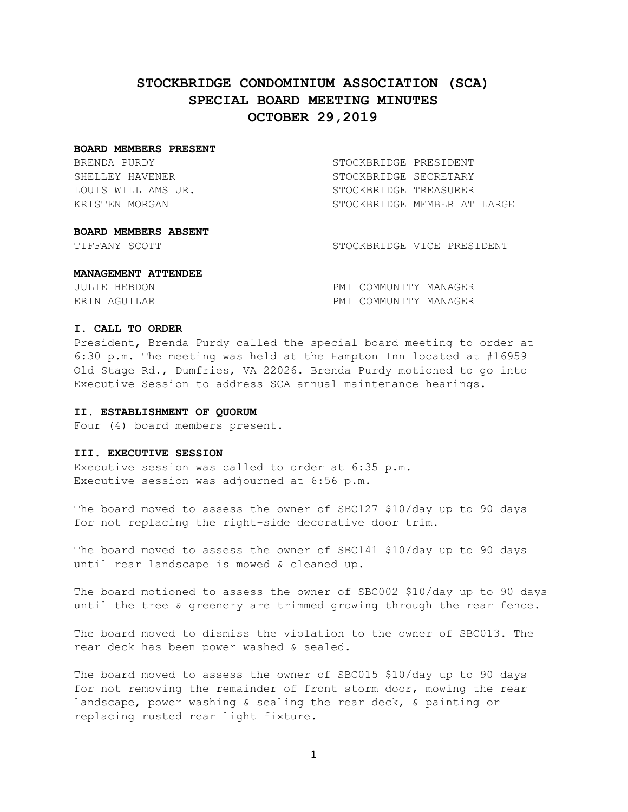# **STOCKBRIDGE CONDOMINIUM ASSOCIATION (SCA) SPECIAL BOARD MEETING MINUTES OCTOBER 29,2019**

#### **BOARD MEMBERS PRESENT**

BRENDA PURDY STOCKBRIDGE PRESIDENT

SHELLEY HAVENER STOCKBRIDGE SECRETARY LOUIS WILLIAMS JR. STOCKBRIDGE TREASURER KRISTEN MORGAN STOCKBRIDGE MEMBER AT LARGE

## **BOARD MEMBERS ABSENT**

TIFFANY SCOTT STOCKBRIDGE VICE PRESIDENT

#### **MANAGEMENT ATTENDEE**

| JULIE HEBDON | PMI COMMUNITY MANAGER |  |
|--------------|-----------------------|--|
| ERIN AGUILAR | PMI COMMUNITY MANAGER |  |

## **I. CALL TO ORDER**

President, Brenda Purdy called the special board meeting to order at 6:30 p.m. The meeting was held at the Hampton Inn located at #16959 Old Stage Rd., Dumfries, VA 22026. Brenda Purdy motioned to go into Executive Session to address SCA annual maintenance hearings.

## **II. ESTABLISHMENT OF QUORUM**

Four (4) board members present.

#### **III. EXECUTIVE SESSION**

Executive session was called to order at 6:35 p.m. Executive session was adjourned at 6:56 p.m.

The board moved to assess the owner of SBC127 \$10/day up to 90 days for not replacing the right-side decorative door trim.

The board moved to assess the owner of SBC141 \$10/day up to 90 days until rear landscape is mowed & cleaned up.

The board motioned to assess the owner of SBC002 \$10/day up to 90 days until the tree & greenery are trimmed growing through the rear fence.

The board moved to dismiss the violation to the owner of SBC013. The rear deck has been power washed & sealed.

The board moved to assess the owner of SBC015 \$10/day up to 90 days for not removing the remainder of front storm door, mowing the rear landscape, power washing & sealing the rear deck, & painting or replacing rusted rear light fixture.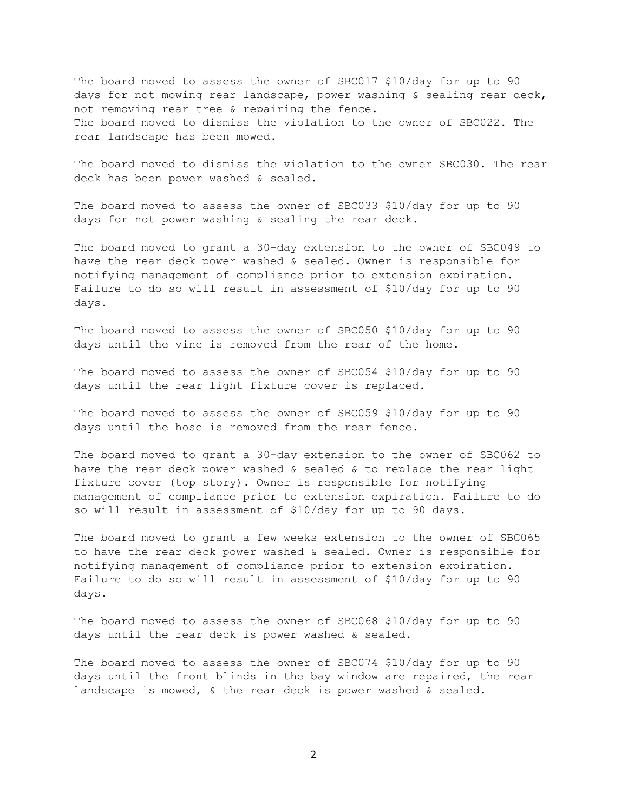The board moved to assess the owner of SBC017 \$10/day for up to 90 days for not mowing rear landscape, power washing & sealing rear deck, not removing rear tree & repairing the fence. The board moved to dismiss the violation to the owner of SBC022. The rear landscape has been mowed.

The board moved to dismiss the violation to the owner SBC030. The rear deck has been power washed & sealed.

The board moved to assess the owner of SBC033 \$10/day for up to 90 days for not power washing & sealing the rear deck.

The board moved to grant a 30-day extension to the owner of SBC049 to have the rear deck power washed & sealed. Owner is responsible for notifying management of compliance prior to extension expiration. Failure to do so will result in assessment of \$10/day for up to 90 days.

The board moved to assess the owner of SBC050 \$10/day for up to 90 days until the vine is removed from the rear of the home.

The board moved to assess the owner of SBC054 \$10/day for up to 90 days until the rear light fixture cover is replaced.

The board moved to assess the owner of SBC059 \$10/day for up to 90 days until the hose is removed from the rear fence.

The board moved to grant a 30-day extension to the owner of SBC062 to have the rear deck power washed & sealed & to replace the rear light fixture cover (top story). Owner is responsible for notifying management of compliance prior to extension expiration. Failure to do so will result in assessment of \$10/day for up to 90 days.

The board moved to grant a few weeks extension to the owner of SBC065 to have the rear deck power washed & sealed. Owner is responsible for notifying management of compliance prior to extension expiration. Failure to do so will result in assessment of \$10/day for up to 90 days.

The board moved to assess the owner of SBC068 \$10/day for up to 90 days until the rear deck is power washed & sealed.

The board moved to assess the owner of SBC074 \$10/day for up to 90 days until the front blinds in the bay window are repaired, the rear landscape is mowed, & the rear deck is power washed & sealed.

2